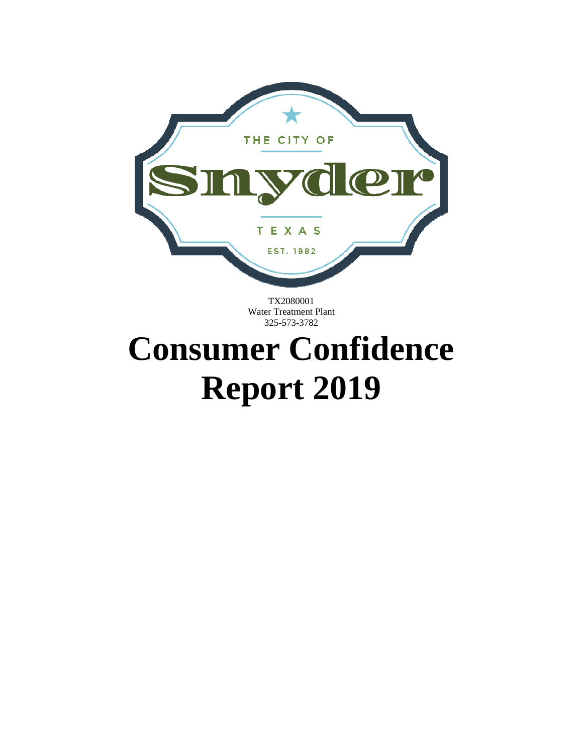

TX2080001 Water Treatment Plant 325-573-3782

### **Consumer Confidence Report 2019**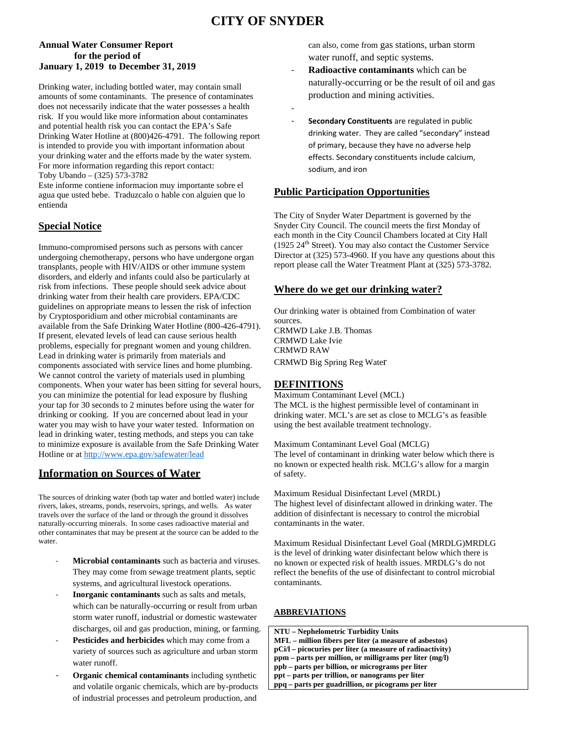#### **CITY OF SNYDER**

‐

#### **Annual Water Consumer Report for the period of January 1, 2019 to December 31, 2019**

Drinking water, including bottled water, may contain small amounts of some contaminants. The presence of contaminates does not necessarily indicate that the water possesses a health risk. If you would like more information about contaminates and potential health risk you can contact the EPA's Safe Drinking Water Hotline at (800)426-4791. The following report is intended to provide you with important information about your drinking water and the efforts made by the water system. For more information regarding this report contact:

Toby Ubando – (325) 573-3782

Este informe contiene informacion muy importante sobre el agua que usted bebe. Traduzcalo o hable con alguien que lo entienda

#### **Special Notice**

Immuno-compromised persons such as persons with cancer undergoing chemotherapy, persons who have undergone organ transplants, people with HIV/AIDS or other immune system disorders, and elderly and infants could also be particularly at risk from infections. These people should seek advice about drinking water from their health care providers. EPA/CDC guidelines on appropriate means to lessen the risk of infection by Cryptosporidium and other microbial contaminants are available from the Safe Drinking Water Hotline (800-426-4791). If present, elevated levels of lead can cause serious health problems, especially for pregnant women and young children. Lead in drinking water is primarily from materials and components associated with service lines and home plumbing. We cannot control the variety of materials used in plumbing components. When your water has been sitting for several hours, you can minimize the potential for lead exposure by flushing your tap for 30 seconds to 2 minutes before using the water for drinking or cooking. If you are concerned about lead in your water you may wish to have your water tested. Information on lead in drinking water, testing methods, and steps you can take to minimize exposure is available from the Safe Drinking Water Hotline or at http://www.epa.gov/safewater/lead

#### **Information on Sources of Water**

The sources of drinking water (both tap water and bottled water) include rivers, lakes, streams, ponds, reservoirs, springs, and wells. As water travels over the surface of the land or through the ground it dissolves naturally-occurring minerals. In some cases radioactive material and other contaminates that may be present at the source can be added to the water.

- **Microbial contaminants** such as bacteria and viruses. They may come from sewage treatment plants, septic systems, and agricultural livestock operations.
- ‐ **Inorganic contaminants** such as salts and metals, which can be naturally-occurring or result from urban storm water runoff, industrial or domestic wastewater discharges, oil and gas production, mining, or farming.
- Pesticides and herbicides which may come from a variety of sources such as agriculture and urban storm water runoff.
- ‐ **Organic chemical contaminants** including synthetic and volatile organic chemicals, which are by-products of industrial processes and petroleum production, and

can also, come from gas stations, urban storm water runoff, and septic systems.

- ‐ **Radioactive contaminants** which can be naturally-occurring or be the result of oil and gas production and mining activities.
- ‐ **Secondary Constituents** are regulated in public drinking water. They are called "secondary" instead of primary, because they have no adverse help effects. Secondary constituents include calcium, sodium, and iron

#### **Public Participation Opportunities**

The City of Snyder Water Department is governed by the Snyder City Council. The council meets the first Monday of each month in the City Council Chambers located at City Hall (1925  $24<sup>th</sup>$  Street). You may also contact the Customer Service Director at (325) 573-4960. If you have any questions about this report please call the Water Treatment Plant at (325) 573-3782.

#### **Where do we get our drinking water?**

Our drinking water is obtained from Combination of water sources. CRMWD Lake J.B. Thomas CRMWD Lake Ivie CRMWD RAW CRMWD Big Spring Reg Water

#### **DEFINITIONS**

Maximum Contaminant Level (MCL) The MCL is the highest permissible level of contaminant in drinking water. MCL's are set as close to MCLG's as feasible using the best available treatment technology.

Maximum Contaminant Level Goal (MCLG) The level of contaminant in drinking water below which there is no known or expected health risk. MCLG's allow for a margin of safety.

Maximum Residual Disinfectant Level (MRDL) The highest level of disinfectant allowed in drinking water. The addition of disinfectant is necessary to control the microbial contaminants in the water.

Maximum Residual Disinfectant Level Goal (MRDLG)MRDLG is the level of drinking water disinfectant below which there is no known or expected risk of health issues. MRDLG's do not reflect the benefits of the use of disinfectant to control microbial contaminants.

#### **ABBREVIATIONS**

| NTU – Nephelometric Turbidity Units                         |  |
|-------------------------------------------------------------|--|
| MFL – million fibers per liter (a measure of asbestos)      |  |
| $pCi/1 - picocuries$ per liter (a measure of radioactivity) |  |
| ppm – parts per million, or milligrams per liter (mg/l)     |  |
| ppb – parts per billion, or micrograms per liter            |  |
| ppt – parts per trillion, or nanograms per liter            |  |
| ppq – parts per guadrillion, or picograms per liter         |  |
|                                                             |  |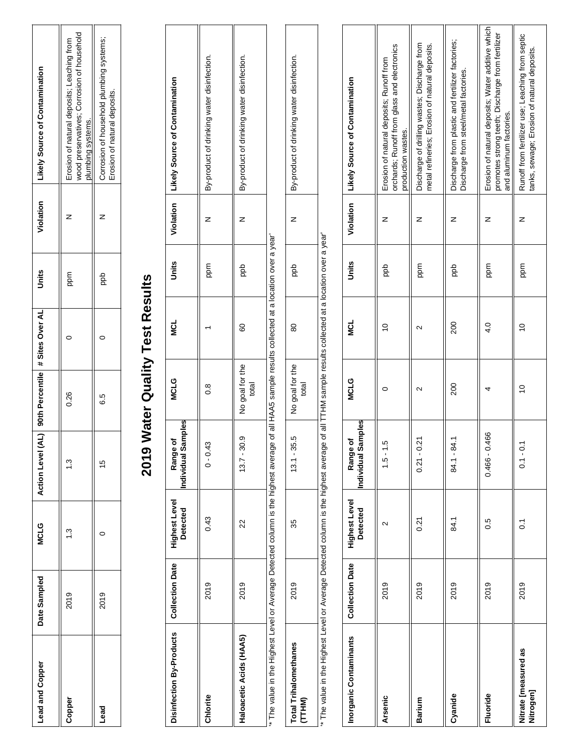| Lead and Copper | Date Sampled | <b>MCLG</b> | <b>Action Level</b> |        | (AL) 90th Percentile # Sites Over AL | Units    | Violation | Likely Source of Contamination                                                                                |
|-----------------|--------------|-------------|---------------------|--------|--------------------------------------|----------|-----------|---------------------------------------------------------------------------------------------------------------|
| Copper          | 2019         |             | $\frac{3}{2}$       | 0.26   |                                      | mdd<br>B |           | wood preservatives; Corrosion of household<br>Erosion of natural deposits; Leaching from<br>plumbing systems. |
| <b>bead</b>     | 2019         |             | $\overline{0}$      | 5<br>6 |                                      | ada      |           | Corrosion of household plumbing systems;<br>Erosion of natural deposits.                                      |

# 2019 Water Quality Test Results **2019 Water Quality Test Results**

| Disinfection By-Products   Collection Date   Highest Level                                                                                        |      | <b>Detected</b> | Individual Samples<br>ъ<br>Range o | <b>MCLG</b>              | <b>MCL</b> | Units | Violation   Likely Source of Contamination |
|---------------------------------------------------------------------------------------------------------------------------------------------------|------|-----------------|------------------------------------|--------------------------|------------|-------|--------------------------------------------|
| Chlorite                                                                                                                                          | 2019 | 0.43            | $0 - 0.43$                         | 80                       |            | ppm   | By-product of drinking water disinfection. |
| Haloacetic Acids (HAA5)                                                                                                                           | 2019 | 22              | $13.7 - 30.9$                      | No goal for the<br>total | 60         | ada   | By-product of drinking water disinfection. |
| " The value in the Highest Level or Average Detected column is the highest average of all HAA5 sample results collected at a location over a vear |      |                 |                                    |                          |            |       |                                            |

'\* The value in the Highest Level or Average Detected column is the highest average of all HAA5 sample results collected at a location over a year' ⋋ 5. ں<br>چ  $\frac{1}{2}$ פּל 5

| hane<br>otal Trihalometh                  | 2019 | 3                                                             | ς<br>Ο<br>L<br>$\ddot{\phantom{0}}$ | ֧֧֧֧֧֧֧֧֧ׅ֧֧֧֛֚֚֚֚֚֚֚֚֚֚֚֚֚֚֓֝֓֜֜֜֜֜֜֓֜֜֜<br>i<br>$\overline{\phantom{a}}$ | ಸ                    | )<br>D<br>s in a | z | ١<br>ļ<br>1<br>$\ddot{\phantom{a}}$<br>ļ<br>i<br>ί<br>Ì<br>ı |
|-------------------------------------------|------|---------------------------------------------------------------|-------------------------------------|----------------------------------------------------------------------------|----------------------|------------------|---|--------------------------------------------------------------|
| j<br>l                                    |      |                                                               |                                     | ξĻ<br>3                                                                    |                      |                  |   |                                                              |
| .<br>.<br>.<br>.<br>.<br>.<br>.<br>.<br>. |      | $\frac{1}{2}$ . The contract of the contract of $\frac{1}{2}$ |                                     | ׇ֦֘֝<br>:<br>;<br>;<br>;                                                   | $\ddot{\phantom{a}}$ |                  |   |                                                              |

\*\* The value in the Highest Level or Average Detected column is the highest average of all TTHM sample results collected at a location over a year' '\* The value in the Highest Level or Average Detected column is the highest average of all TTHM sample results collected at a location over a year'

| Inorganic Contaminants            | <b>Collection Date</b> | <b>Highest Level</b><br><b>Detected</b> | ndividual Samples<br>Range of | <b>MCLG</b>       | ี<br>≥ี        | Units    | Violation | <b>Likely Source of Contamination</b>                                                                                            |
|-----------------------------------|------------------------|-----------------------------------------|-------------------------------|-------------------|----------------|----------|-----------|----------------------------------------------------------------------------------------------------------------------------------|
| Arsenic                           | 2019                   | $\scriptstyle\mathtt{N}$                | гÚ<br>$1 - 5 - 1$             |                   | $\overline{C}$ | dda      | z         | orchards; Runoff from glass and electronics<br>Erosion of natural deposits; Runoff from<br>production wastes.                    |
| Barium                            | 2019                   | 0.21                                    | $0.21 - 0.21$                 | $\mathbf{\Omega}$ | Ν              | mdd<br>B | z         | Discharge of drilling wastes; Discharge from<br>metal refineries; Erosion of natural deposits.                                   |
| Cyanide                           | 2019                   | 84.1                                    | $84.1 - 84.1$                 | 200               | 200            | dda      | z         | Discharge from plastic and fertilizer factories;<br>Discharge from steel/metal factories.                                        |
| Fluoride                          | 2019                   | 0.5                                     | $0.466 - 0.466$               |                   | $\frac{1}{4}$  | mdd<br>B | z         | Erosion of natural deposits; Water additive which<br>promotes strong teeth; Discharge from fertilizer<br>and aluminum factories. |
| Nitrate [measured as<br>Nitrogen] | 2019                   | $\tilde{\circ}$                         | $0.1 - 0.$                    | $\tilde{c}$       | $\overline{C}$ | mdd<br>B | z         | Runoff from fertilizer use; Leaching from septic<br>tanks, sewage; Erosion of natural deposits.                                  |